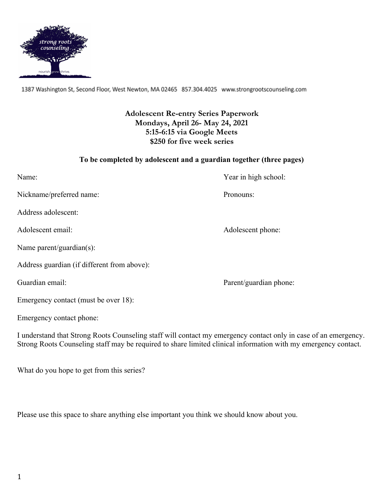

1387 Washington St, Second Floor, West Newton, MA 02465 857.304.4025 www.strongrootscounseling.com

# **Adolescent Re-entry Series Paperwork Mondays, April 26- May 24, 2021 5:15-6:15 via Google Meets \$250 for five week series**

### **To be completed by adolescent and a guardian together (three pages)**

| Name:                                       | Year in high school:   |
|---------------------------------------------|------------------------|
| Nickname/preferred name:                    | Pronouns:              |
| Address adolescent:                         |                        |
| Adolescent email:                           | Adolescent phone:      |
| Name parent/guardian(s):                    |                        |
| Address guardian (if different from above): |                        |
| Guardian email:                             | Parent/guardian phone: |
| Emergency contact (must be over 18):        |                        |
| Emergency contact phone:                    |                        |

I understand that Strong Roots Counseling staff will contact my emergency contact only in case of an emergency. Strong Roots Counseling staff may be required to share limited clinical information with my emergency contact.

What do you hope to get from this series?

Please use this space to share anything else important you think we should know about you.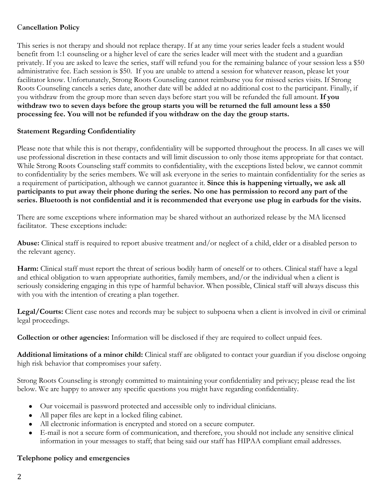## C**ancellation Policy**

This series is not therapy and should not replace therapy. If at any time your series leader feels a student would benefit from 1:1 counseling or a higher level of care the series leader will meet with the student and a guardian privately. If you are asked to leave the series, staff will refund you for the remaining balance of your session less a \$50 administrative fee. Each session is \$50. If you are unable to attend a session for whatever reason, please let your facilitator know. Unfortunately, Strong Roots Counseling cannot reimburse you for missed series visits. If Strong Roots Counseling cancels a series date, another date will be added at no additional cost to the participant. Finally, if you withdraw from the group more than seven days before start you will be refunded the full amount. **If you withdraw two to seven days before the group starts you will be returned the full amount less a \$50 processing fee. You will not be refunded if you withdraw on the day the group starts.**

## **Statement Regarding Confidentiality**

Please note that while this is not therapy, confidentiality will be supported throughout the process. In all cases we will use professional discretion in these contacts and will limit discussion to only those items appropriate for that contact. While Strong Roots Counseling staff commits to confidentiality, with the exceptions listed below, we cannot commit to confidentiality by the series members. We will ask everyone in the series to maintain confidentiality for the series as a requirement of participation, although we cannot guarantee it. **Since this is happening virtually, we ask all participants to put away their phone during the series. No one has permission to record any part of the series. Bluetooth is not confidential and it is recommended that everyone use plug in earbuds for the visits.**

There are some exceptions where information may be shared without an authorized release by the MA licensed facilitator. These exceptions include:

**Abuse:** Clinical staff is required to report abusive treatment and/or neglect of a child, elder or a disabled person to the relevant agency.

**Harm:** Clinical staff must report the threat of serious bodily harm of oneself or to others. Clinical staff have a legal and ethical obligation to warn appropriate authorities, family members, and/or the individual when a client is seriously considering engaging in this type of harmful behavior. When possible, Clinical staff will always discuss this with you with the intention of creating a plan together.

**Legal/Courts:** Client case notes and records may be subject to subpoena when a client is involved in civil or criminal legal proceedings.

**Collection or other agencies:** Information will be disclosed if they are required to collect unpaid fees.

**Additional limitations of a minor child:** Clinical staff are obligated to contact your guardian if you disclose ongoing high risk behavior that compromises your safety.

Strong Roots Counseling is strongly committed to maintaining your confidentiality and privacy; please read the list below. We are happy to answer any specific questions you might have regarding confidentiality.

- Our voicemail is password protected and accessible only to individual clinicians.
- All paper files are kept in a locked filing cabinet.
- All electronic information is encrypted and stored on a secure computer.
- E-mail is not a secure form of communication, and therefore, you should not include any sensitive clinical information in your messages to staff; that being said our staff has HIPAA compliant email addresses.

### **Telephone policy and emergencies**